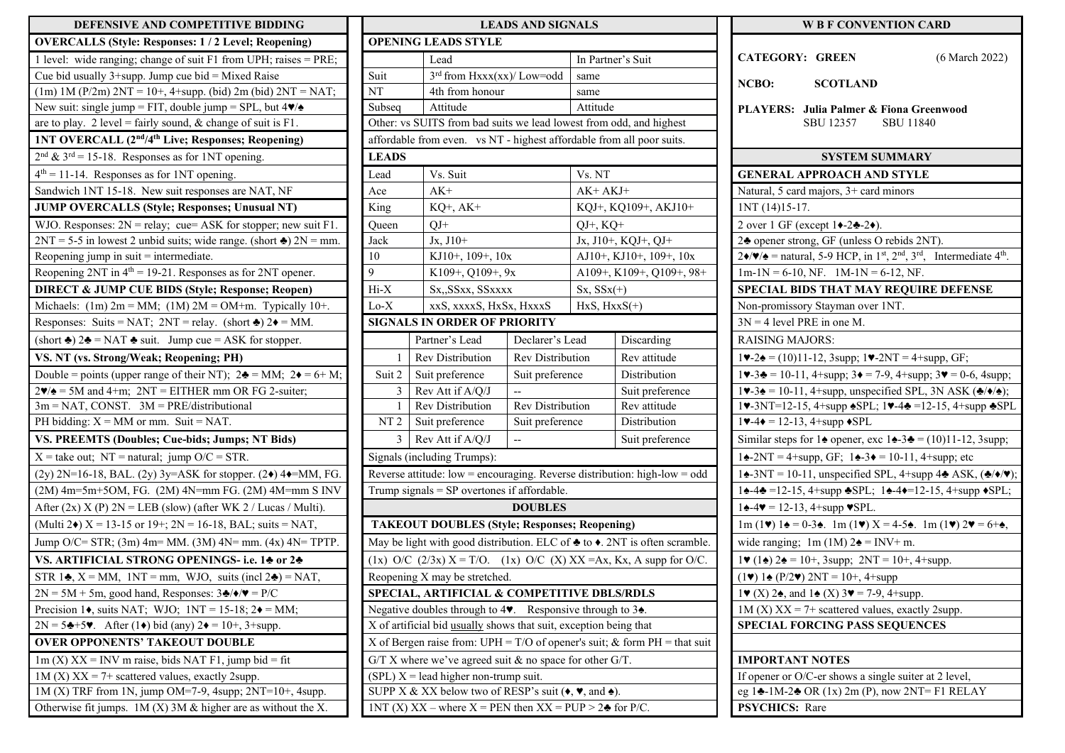| DEFENSIVE AND COMPETITIVE BIDDING                                                         | <b>LEADS AND SIGNALS</b>                                                                      |                                                                                     |                              |                 |                   |  |
|-------------------------------------------------------------------------------------------|-----------------------------------------------------------------------------------------------|-------------------------------------------------------------------------------------|------------------------------|-----------------|-------------------|--|
| <b>OVERCALLS (Style: Responses: 1/2 Level; Reopening)</b>                                 | <b>OPENING LEADS STYLE</b>                                                                    |                                                                                     |                              |                 |                   |  |
| 1 level: wide ranging; change of suit $F1$ from UPH; raises = PRE;                        |                                                                                               | Lead                                                                                |                              |                 | In Partner's Suit |  |
| Cue bid usually $3+$ supp. Jump cue bid = Mixed Raise                                     | Suit                                                                                          |                                                                                     | $3rd$ from Hxxx(xx)/ Low=odd |                 | same              |  |
| $(1m)$ 1M (P/2m) 2NT = 10+, 4+supp. (bid) 2m (bid) 2NT = NAT;                             | NT                                                                                            |                                                                                     | 4th from honour              |                 | same              |  |
| New suit: single jump = FIT, double jump = SPL, but $4\blacktriangledown/\blacktriangle$  | Subseq                                                                                        | Attitude                                                                            |                              |                 | Attitude          |  |
| are to play. 2 level = fairly sound, & change of suit is $F1$ .                           | Other: vs SUITS from bad suits we lead lowest from odd, and                                   |                                                                                     |                              |                 |                   |  |
| 1NT OVERCALL (2 <sup>nd</sup> /4 <sup>th</sup> Live; Responses; Reopening)                |                                                                                               | affordable from even. vs NT - highest affordable from all poc                       |                              |                 |                   |  |
| $2nd$ & $3rd = 15-18$ . Responses as for 1NT opening.                                     | <b>LEADS</b>                                                                                  |                                                                                     |                              |                 |                   |  |
| $4th = 11-14$ . Responses as for 1NT opening.                                             | Lead                                                                                          | Vs. Suit                                                                            |                              | Vs. NT          |                   |  |
| Sandwich 1NT 15-18. New suit responses are NAT, NF                                        | Ace                                                                                           | $AK+$                                                                               |                              | AK+ AKJ+        |                   |  |
| JUMP OVERCALLS (Style; Responses; Unusual NT)                                             | King                                                                                          | KQ+, AK+                                                                            |                              | KQJ+, KQ109+,   |                   |  |
| WJO. Responses: $2N =$ relay; cue= ASK for stopper; new suit F1.                          | Queen                                                                                         | $QJ+$                                                                               |                              | $QJ+$ , $KQ+$   |                   |  |
| $2NT = 5-5$ in lowest 2 unbid suits; wide range. (short $\triangleq$ ) $2N =$ mm.         | Jack                                                                                          | $Jx, J10+$                                                                          |                              |                 | $Jx, J10+, KQJ+,$ |  |
| Reopening jump in $suit =$ intermediate.                                                  | 10                                                                                            |                                                                                     | KJ10+, 109+, 10x             |                 | $AJ10+, KJ10+, 1$ |  |
| Reopening 2NT in $4th = 19-21$ . Responses as for 2NT opener.                             | 9                                                                                             | K109+, Q109+, 9x                                                                    |                              |                 | A109+, K109+,     |  |
| <b>DIRECT &amp; JUMP CUE BIDS (Style; Response; Reopen)</b>                               | $\rm{Hi-X}$                                                                                   | Sx., SSxx, SSxxxx                                                                   | $Sx, SSx(+)$                 |                 |                   |  |
| Michaels: $(1m) 2m = MM$ ; $(1M) 2M = OM+m$ . Typically 10+.                              | Lo-X                                                                                          | xxS, xxxxS, HxSx, HxxxS                                                             |                              | $HxS, HxxS(+)$  |                   |  |
| Responses: Suits = NAT; 2NT = relay. (short $\triangleq$ ) 2 $\triangleq$ = MM.           |                                                                                               | <b>SIGNALS IN ORDER OF PRIORITY</b>                                                 |                              |                 |                   |  |
| (short $\triangleq$ ) 2 $\triangleq$ = NAT $\triangleq$ suit. Jump cue = ASK for stopper. |                                                                                               | Partner's Lead                                                                      | Declarer's Lead              |                 | Discard           |  |
| VS. NT (vs. Strong/Weak; Reopening; PH)                                                   | 1                                                                                             | <b>Rev Distribution</b>                                                             | <b>Rev Distribution</b>      | Rev att         |                   |  |
| Double = points (upper range of their NT); $2\clubsuit = MM$ ; $2\spadesuit = 6 + M$ ;    | Suit preference<br>Suit 2                                                                     |                                                                                     |                              | Suit preference |                   |  |
| $2\blacktriangledown/\blacktriangle = 5M$ and 4+m; $2NT = EITHER$ mm OR FG 2-suiter;      | Rev Att if A/Q/J<br>3                                                                         |                                                                                     |                              |                 |                   |  |
| $3m = NAT$ , CONST. $3M = PRE/distributional$                                             | Rev Distribution<br>1                                                                         |                                                                                     | Rev Distribution             |                 | Rev att           |  |
| PH bidding: $X = MM$ or mm. Suit = NAT.                                                   | Suit preference<br>NT <sub>2</sub><br>Suit preference                                         |                                                                                     |                              |                 | Distrib           |  |
| VS. PREEMTS (Doubles; Cue-bids; Jumps; NT Bids)                                           | 3                                                                                             | Rev Att if A/Q/J                                                                    | $\overline{\phantom{m}}$     |                 | Suit pro          |  |
| $X =$ take out; NT = natural; jump O/C = STR.                                             |                                                                                               | Signals (including Trumps):                                                         |                              |                 |                   |  |
| (2y) 2N=16-18, BAL. (2y) 3y=ASK for stopper. $(2\bullet)$ 4 $\bullet$ =MM, FG.            |                                                                                               | Reverse attitude: low = encouraging. Reverse distribution: high                     |                              |                 |                   |  |
| $(2M)$ 4m=5m+5OM, FG. $(2M)$ 4N=mm FG. $(2M)$ 4M=mm S INV                                 | Trump signals $=$ SP overtones if affordable.                                                 |                                                                                     |                              |                 |                   |  |
| After $(2x)$ X $(P)$ $2N = LEB$ (slow) (after WK 2 / Lucas / Multi).                      |                                                                                               |                                                                                     | <b>DOUBLES</b>               |                 |                   |  |
| (Multi 2 $\bullet$ ) X = 13-15 or 19+; 2N = 16-18, BAL; suits = NAT,                      |                                                                                               | <b>TAKEOUT DOUBLES (Style; Responses; Reopening)</b>                                |                              |                 |                   |  |
| Jump O/C= STR; $(3m)$ 4m= MM. $(3M)$ 4N= mm. $(4x)$ 4N= TPTP.                             |                                                                                               | May be light with good distribution. ELC of $\triangle$ to $\triangle$ . 2NT is oft |                              |                 |                   |  |
| VS. ARTIFICIAL STRONG OPENINGS- i.e. 14 or 24                                             |                                                                                               | (1x) O/C (2/3x) $X = T/O$ . (1x) O/C (X) $XX = Ax$ , $Kx$ , A su                    |                              |                 |                   |  |
| STR 1 $\clubsuit$ , X = MM, 1NT = mm, WJO, suits (incl 2 $\clubsuit$ ) = NAT,             |                                                                                               | Reopening X may be stretched.                                                       |                              |                 |                   |  |
| $2N = 5M + 5m$ , good hand, Responses: $3\clubsuit/\diamond/\blacktriangledown = P/C$     |                                                                                               | SPECIAL, ARTIFICIAL & COMPETITIVE DBLS/RDLS                                         |                              |                 |                   |  |
| Precision 1 $\bullet$ , suits NAT; WJO; 1NT = 15-18; 2 $\bullet$ = MM;                    | Negative doubles through to $4\blacktriangledown$ . Responsive through to $3\blacktriangle$ . |                                                                                     |                              |                 |                   |  |
| $2N = 5 + 5$ . After (1+) bid (any) $2 \rightarrow 10^{+}$ , 3+supp.                      |                                                                                               | X of artificial bid usually shows that suit, exception being that                   |                              |                 |                   |  |
| <b>OVER OPPONENTS' TAKEOUT DOUBLE</b>                                                     |                                                                                               | X of Bergen raise from: UPH = $T/O$ of opener's suit; & form P                      |                              |                 |                   |  |
| $1m(X) XX = INV$ m raise, bids NAT F1, jump bid = fit                                     | $G/T X$ where we've agreed suit & no space for other $G/T$ .                                  |                                                                                     |                              |                 |                   |  |
| $1M(X) XX = 7+ scattered$ values, exactly 2supp.                                          | $(SPL)$ X = lead higher non-trump suit.                                                       |                                                                                     |                              |                 |                   |  |
| $1M(X)$ TRF from 1N, jump OM=7-9, 4supp; $2NT=10+$ , 4supp.                               | SUPP X & XX below two of RESP's suit $(\bullet, \bullet)$ , and $\bullet$ ).                  |                                                                                     |                              |                 |                   |  |
| Otherwise fit jumps. $1M(X)$ 3M & higher are as without the X.                            |                                                                                               | 1NT (X) XX – where X = PEN then $XX = PUP > 2$ for P/C.                             |                              |                 |                   |  |

| DEFENSIVE AND COMPETITIVE BIDDING                                                        | <b>LEADS AND SIGNALS</b>                                          |                                                                                               |                  |                                                                                                 | <b>W B F CONVENTION CARD</b>                                                                                                                                                                                                    |
|------------------------------------------------------------------------------------------|-------------------------------------------------------------------|-----------------------------------------------------------------------------------------------|------------------|-------------------------------------------------------------------------------------------------|---------------------------------------------------------------------------------------------------------------------------------------------------------------------------------------------------------------------------------|
| <b>OVERCALLS (Style: Responses: 1/2 Level; Reopening)</b>                                |                                                                   | <b>OPENING LEADS STYLE</b>                                                                    |                  |                                                                                                 |                                                                                                                                                                                                                                 |
| 1 level: wide ranging; change of suit F1 from UPH; raises = PRE;                         |                                                                   | Lead                                                                                          |                  | In Partner's Suit                                                                               | <b>CATEGORY: GREEN</b><br>(6 March 2022)                                                                                                                                                                                        |
| Cue bid usually $3+$ supp. Jump cue bid = Mixed Raise                                    | Suit                                                              | $3^{\text{rd}}$ from Hxxx(xx)/ Low=odd                                                        |                  | same                                                                                            | NCBO:<br><b>SCOTLAND</b>                                                                                                                                                                                                        |
| $(1m)$ 1M (P/2m) 2NT = 10+, 4+supp. (bid) 2m (bid) 2NT = NAT;                            | NT                                                                | 4th from honour                                                                               |                  | same                                                                                            |                                                                                                                                                                                                                                 |
| New suit: single jump = FIT, double jump = SPL, but $4\blacktriangledown/\blacktriangle$ | Subseq                                                            | Attitude                                                                                      |                  | Attitude                                                                                        | PLAYERS: Julia Palmer & Fiona Greenwood                                                                                                                                                                                         |
| are to play. 2 level = fairly sound, & change of suit is $F1$ .                          |                                                                   |                                                                                               |                  | Other: vs SUITS from bad suits we lead lowest from odd, and highest                             | <b>SBU 12357</b><br><b>SBU 11840</b>                                                                                                                                                                                            |
| 1NT OVERCALL (2 <sup>nd</sup> /4 <sup>th</sup> Live; Responses; Reopening)               |                                                                   |                                                                                               |                  | affordable from even. vs NT - highest affordable from all poor suits.                           |                                                                                                                                                                                                                                 |
| $2nd$ & 3 <sup>rd</sup> = 15-18. Responses as for 1NT opening.                           | <b>LEADS</b>                                                      |                                                                                               |                  |                                                                                                 | <b>SYSTEM SUMMARY</b>                                                                                                                                                                                                           |
| $4th = 11-14$ . Responses as for 1NT opening.                                            | Lead                                                              | Vs. Suit                                                                                      |                  | Vs. NT                                                                                          | <b>GENERAL APPROACH AND STYLE</b>                                                                                                                                                                                               |
| Sandwich 1NT 15-18. New suit responses are NAT, NF                                       | Ace                                                               | $AK+$                                                                                         |                  | $AK+AKJ+$                                                                                       | Natural, 5 card majors, 3+ card minors                                                                                                                                                                                          |
| <b>JUMP OVERCALLS (Style; Responses; Unusual NT)</b>                                     | King                                                              | $KQ^+$ , $AK^+$                                                                               |                  | KQJ+, KQ109+, AKJ10+                                                                            | $1NT(14)15-17.$                                                                                                                                                                                                                 |
| WJO. Responses: $2N =$ relay; cue= ASK for stopper; new suit F1.                         | Queen                                                             | $QJ+$                                                                                         |                  | $QJ+$ , $KQ+$                                                                                   | 2 over 1 GF (except $1 \rightarrow -2 \rightarrow -2 \rightarrow$ ).                                                                                                                                                            |
| $2NT = 5-5$ in lowest 2 unbid suits; wide range. (short $\triangle 2N =$ mm.             | Jack                                                              | $Jx, J10+$                                                                                    |                  | Jx, J10+, KQJ+, QJ+                                                                             | 24 opener strong, GF (unless O rebids 2NT).                                                                                                                                                                                     |
| Reopening jump in suit = intermediate.                                                   | 10                                                                | KJ10+, 109+, 10x                                                                              |                  | AJ10+, KJ10+, $109+$ , $10x$                                                                    | $2\blacklozenge/\blacktriangleright$ = natural, 5-9 HCP, in 1 <sup>st</sup> , 2 <sup>nd</sup> , 3 <sup>rd</sup> , Intermediate 4 <sup>th</sup> .                                                                                |
| Reopening 2NT in $4th = 19-21$ . Responses as for 2NT opener.                            | 9                                                                 | K109+, Q109+, 9x                                                                              |                  | A109+, K109+, Q109+, 98+                                                                        | $1m-1N = 6-10$ , NF. $1M-1N = 6-12$ , NF.                                                                                                                                                                                       |
| DIRECT & JUMP CUE BIDS (Style; Response; Reopen)                                         | $Hi-X$                                                            | Sx., SSxx, SSxxxx                                                                             |                  | $Sx, SSx(+)$                                                                                    | SPECIAL BIDS THAT MAY REQUIRE DEFENSE                                                                                                                                                                                           |
| Michaels: $(1m) 2m = MM$ ; $(1M) 2M = OM+m$ . Typically $10+$ .                          | $Lo-X$                                                            | xxS, xxxxS, HxSx, HxxxS                                                                       |                  | $HxS, HxxS(+)$                                                                                  | Non-promissory Stayman over 1NT.                                                                                                                                                                                                |
| Responses: Suits = NAT; $2NT$ = relay. (short $\triangleq$ ) $2\blacktriangleleft$ = MM. |                                                                   | <b>SIGNALS IN ORDER OF PRIORITY</b>                                                           |                  |                                                                                                 | $3N = 4$ level PRE in one M.                                                                                                                                                                                                    |
| (short $\triangle$ ) 2 $\triangle$ = NAT $\triangle$ suit. Jump cue = ASK for stopper.   |                                                                   | Partner's Lead                                                                                | Declarer's Lead  | Discarding                                                                                      | <b>RAISING MAJORS:</b>                                                                                                                                                                                                          |
| VS. NT (vs. Strong/Weak; Reopening; PH)                                                  |                                                                   | Rev Distribution                                                                              | Rev Distribution | Rev attitude                                                                                    | $1\blacktriangleright -2\blacktriangle = (10)11-12$ , 3supp; $1\blacktriangleright -2NT = 4 + \text{supp}$ , GF;                                                                                                                |
| Double = points (upper range of their NT); $2\clubsuit = MM$ ; $2\spadesuit = 6 + M$ ;   | Suit 2                                                            | Suit preference                                                                               | Suit preference  | Distribution                                                                                    | $1\blacktriangleright -3\clubsuit = 10-11$ , $4+$ supp; $3\blacktriangleright = 7-9$ , $4+$ supp; $3\blacktriangleright = 0-6$ , $4$ supp;                                                                                      |
| $2\blacktriangledown/\blacktriangle = 5M$ and 4+m; $2NT = EITHER$ mm OR FG 2-suiter;     | 3                                                                 | Rev Att if A/Q/J                                                                              |                  | Suit preference                                                                                 | $1\blacktriangleright -3\blacktriangle = 10-11$ , 4+supp, unspecified SPL, 3N ASK ( $\blacktriangle / \blacktriangleright$ );                                                                                                   |
| $3m = NAT$ , CONST. $3M = PRE/distributional$                                            |                                                                   | Rev Distribution                                                                              | Rev Distribution | Rev attitude                                                                                    | 1v-3NT=12-15, 4+supp $\triangle$ SPL; 1v-4 $\triangleq$ =12-15, 4+supp $\triangleq$ SPL                                                                                                                                         |
| PH bidding: $X = MM$ or mm. Suit = NAT.                                                  | NT <sub>2</sub>                                                   | Suit preference                                                                               | Suit preference  | Distribution                                                                                    | $1\blacktriangleright -4\blacktriangleright = 12 - 13, 4 + \text{supp }\blacktriangleright \text{SPL}$                                                                                                                          |
| VS. PREEMTS (Doubles; Cue-bids; Jumps; NT Bids)                                          |                                                                   | 3 Rev Att if A/Q/J                                                                            | $\mathbf{L}$     | Suit preference                                                                                 | Similar steps for 14 opener, exc $14-34 = (10)11-12$ , 3supp;                                                                                                                                                                   |
| $X =$ take out; $NT =$ natural; jump $O/C = STR$ .                                       |                                                                   | Signals (including Trumps):                                                                   |                  |                                                                                                 | $1\bigstar -2NT = 4 + \text{supp}, GF; 1\bigstar -3\bigstar = 10 - 11, 4 + \text{supp};$ etc                                                                                                                                    |
| $(2y)$ 2N=16-18, BAL. $(2y)$ 3y=ASK for stopper. $(2\bullet)$ 4 $\bullet$ =MM, FG.       |                                                                   |                                                                                               |                  | Reverse attitude: $low = \text{encouraging}$ . Reverse distribution: high-low = odd             | 14-3NT = 10-11, unspecified SPL, 4+supp 44 ASK, $(4/\sqrt{v})$ ;                                                                                                                                                                |
| $(2M)$ 4m=5m+5OM, FG. $(2M)$ 4N=mm FG. $(2M)$ 4M=mm S INV                                |                                                                   | Trump signals = SP overtones if affordable.                                                   |                  |                                                                                                 | $1\spadesuit$ -4 $\clubsuit$ =12-15, 4+supp $\clubsuit$ SPL; 1 $\spadesuit$ -4 $\spadesuit$ =12-15, 4+supp $\clubsuit$ SPL;                                                                                                     |
| After $(2x)$ X $(P)$ $2N = LEB$ (slow) (after WK 2 / Lucas / Multi).                     |                                                                   |                                                                                               | <b>DOUBLES</b>   |                                                                                                 | $1\spadesuit - 4\blacktriangledown = 12 - 13$ , 4+supp $\blacktriangledown$ SPL.                                                                                                                                                |
| (Multi 2 $\bullet$ ) X = 13-15 or 19+; 2N = 16-18, BAL; suits = NAT,                     |                                                                   | <b>TAKEOUT DOUBLES (Style; Responses; Reopening)</b>                                          |                  |                                                                                                 | $1\text{m}$ (1 $\blacktriangleright$ ) $1\blacktriangle = 0.3\blacktriangle$ . $1\text{m}$ (1 $\blacktriangleright$ ) $X = 4.5\blacktriangle$ . $1\text{m}$ (1 $\blacktriangleright$ ) $2\blacktriangleright = 6 + \triangle$ , |
| Jump O/C= STR; $(3m)$ 4m= MM. $(3M)$ 4N= mm. $(4x)$ 4N= TPTP.                            |                                                                   |                                                                                               |                  | May be light with good distribution. ELC of $\triangle$ to $\triangle$ . 2NT is often scramble. | wide ranging; 1m (1M) $2\blacktriangle =$ INV+ m.                                                                                                                                                                               |
| VS. ARTIFICIAL STRONG OPENINGS-i.e. 14 or 24                                             |                                                                   |                                                                                               |                  | (1x) O/C (2/3x) X = T/O. (1x) O/C (X) XX = Ax, Kx, A supp for O/C.                              | $1\blacktriangleright$ (1 $\blacktriangle$ ) 2 $\blacktriangle$ = 10+, 3supp; 2NT = 10+, 4+supp.                                                                                                                                |
| STR 1 $\clubsuit$ , X = MM, 1NT = mm, WJO, suits (incl 2 $\clubsuit$ ) = NAT,            |                                                                   | Reopening X may be stretched.                                                                 |                  |                                                                                                 | $(1\blacktriangleright)$ 1 $\blacktriangle$ (P/2 $\blacktriangleright$ ) 2NT = 10+, 4+supp                                                                                                                                      |
| $2N = 5M + 5m$ , good hand, Responses: $3\clubsuit/\diamond/\blacktriangledown = P/C$    |                                                                   | SPECIAL, ARTIFICIAL & COMPETITIVE DBLS/RDLS                                                   |                  |                                                                                                 | $1\blacktriangleright (X) 2\spadesuit$ , and $1\spadesuit (X) 3\blacktriangleright = 7-9$ , 4+supp.                                                                                                                             |
| Precision 1 $\bullet$ , suits NAT; WJO; 1NT = 15-18; 2 $\bullet$ = MM;                   |                                                                   | Negative doubles through to $4\blacktriangledown$ . Responsive through to $3\blacktriangle$ . |                  |                                                                                                 | $1M(X) XX = 7+ scattered values, exactly 2supp.$                                                                                                                                                                                |
| $2N = 5 + 5$ . After (1+) bid (any) $2 \div 10^{+}$ , 3+supp.                            | X of artificial bid usually shows that suit, exception being that |                                                                                               |                  |                                                                                                 | SPECIAL FORCING PASS SEQUENCES                                                                                                                                                                                                  |
| <b>OVER OPPONENTS' TAKEOUT DOUBLE</b>                                                    |                                                                   |                                                                                               |                  | X of Bergen raise from: UPH = $T/O$ of opener's suit; & form PH = that suit                     |                                                                                                                                                                                                                                 |
| $1m(X) XX = INV$ m raise, bids NAT F1, jump bid = fit                                    | $G/T X$ where we've agreed suit & no space for other $G/T$ .      |                                                                                               |                  |                                                                                                 | <b>IMPORTANT NOTES</b>                                                                                                                                                                                                          |
| $1M(X) XX = 7+ scattered values, exactly 2supp.$                                         | $(SPL)$ X = lead higher non-trump suit.                           |                                                                                               |                  |                                                                                                 | If opener or O/C-er shows a single suiter at 2 level,                                                                                                                                                                           |
| $1M(X)$ TRF from 1N, jump OM=7-9, 4supp; $2NT=10+$ , 4supp.                              | SUPP X & XX below two of RESP's suit $(•, •,$ and $\bullet$ ).    |                                                                                               |                  |                                                                                                 | eg 14-1M-24 OR (1x) 2m (P), now 2NT= F1 RELAY                                                                                                                                                                                   |
| Otherwise fit jumps. $1M(X)$ 3M & higher are as without the X.                           |                                                                   | 1NT (X) XX – where $X = PEN$ then $XX = PUP > 2$ for P/C.                                     |                  |                                                                                                 | <b>PSYCHICS:</b> Rare                                                                                                                                                                                                           |

| <b>W B F CONVENTION CARD</b>                                                                                                                                         |                |  |  |  |  |  |
|----------------------------------------------------------------------------------------------------------------------------------------------------------------------|----------------|--|--|--|--|--|
| <b>CATEGORY: GREEN</b>                                                                                                                                               | (6 March 2022) |  |  |  |  |  |
| NCBO:<br><b>SCOTLAND</b>                                                                                                                                             |                |  |  |  |  |  |
| PLAYERS: Julia Palmer & Fiona Greenwood<br>SBU 12357 SBU 11840                                                                                                       |                |  |  |  |  |  |
| <b>SYSTEM SUMMARY</b>                                                                                                                                                |                |  |  |  |  |  |
| <b>GENERAL APPROACH AND STYLE</b>                                                                                                                                    |                |  |  |  |  |  |
| Natural, 5 card majors, 3+ card minors                                                                                                                               |                |  |  |  |  |  |
| 1NT (14)15-17.                                                                                                                                                       |                |  |  |  |  |  |
| 2 over 1 GF (except 1+-2+-2+).                                                                                                                                       |                |  |  |  |  |  |
| 2♣ opener strong, GF (unless O rebids 2NT).                                                                                                                          |                |  |  |  |  |  |
| $2\blacklozenge/\blacktriangleright/\blacktriangleright$ = natural, 5-9 HCP, in 1 <sup>st</sup> , 2 <sup>nd</sup> , 3 <sup>rd</sup> , Intermediate 4 <sup>th</sup> . |                |  |  |  |  |  |
| $1m-1N = 6-10$ , NF. $1M-1N = 6-12$ , NF.                                                                                                                            |                |  |  |  |  |  |
| SPECIAL BIDS THAT MAY REQUIRE DEFENSE                                                                                                                                |                |  |  |  |  |  |
| Non-promissory Stayman over 1NT.                                                                                                                                     |                |  |  |  |  |  |
| $3N = 4$ level PRE in one M.                                                                                                                                         |                |  |  |  |  |  |
| <b>RAISING MAJORS:</b>                                                                                                                                               |                |  |  |  |  |  |
| $1\blacktriangleright -2\blacktriangle = (10)11 - 12$ , 3supp; $1\blacktriangleright -2NT = 4 + \text{supp}$ , GF;                                                   |                |  |  |  |  |  |
| $1\blacktriangleright -3\clubsuit = 10-11$ , $4+supp$ ; $3\blacktriangleright = 7-9$ , $4+supp$ ; $3\blacktriangleright = 0-6$ , $4supp$ ;                           |                |  |  |  |  |  |
| $1\blacktriangledown -3\blacktriangle = 10-11$ , 4+supp, unspecified SPL, 3N ASK ( $\blacktriangle / \blacktriangle$ );                                              |                |  |  |  |  |  |
| 1v-3NT=12-15, 4+supp $\triangle$ SPL; 1v-4 $\triangle$ =12-15, 4+supp $\triangle$ SPL                                                                                |                |  |  |  |  |  |
| $1\blacktriangleright -4\blacktriangleright = 12 - 13, 4 + \text{supp }\blacktriangleright \text{SPL}$                                                               |                |  |  |  |  |  |
| Similar steps for 1 $\triangle$ opener, exc 1 $\triangle 3 \triangle = (10)11-12$ , 3supp;                                                                           |                |  |  |  |  |  |
| $1\triangle -2NT = 4 + \text{supp}, GF; 1\triangle -3\bullet = 10-11, 4 + \text{supp};$ etc                                                                          |                |  |  |  |  |  |
| 14-3NT = 10-11, unspecified SPL, 4+supp 44 ASK, $(A/\bullet)$ ;                                                                                                      |                |  |  |  |  |  |
| 14-44 = 12-15, 4+supp 4SPL; 14-4+=12-15, 4+supp +SPL;                                                                                                                |                |  |  |  |  |  |
| $1\spadesuit - 4\blacktriangledown = 12 - 13$ , 4+supp $\blacktriangledown$ SPL.                                                                                     |                |  |  |  |  |  |
| $1m(1\mathbf{v}) 1\mathbf{A} = 0.3\mathbf{A}$ . $1m(1\mathbf{v}) X = 4.5\mathbf{A}$ . $1m(1\mathbf{v}) 2\mathbf{v} = 6 + \mathbf{A}$ ,                               |                |  |  |  |  |  |
| wide ranging; 1m (1M) $2\bullet = \text{INV} + \text{m}$ .                                                                                                           |                |  |  |  |  |  |
| $1\blacktriangleright$ (1 $\blacktriangle$ ) 2 $\blacktriangle$ = 10+, 3supp; 2NT = 10+, 4+supp.                                                                     |                |  |  |  |  |  |
| $(1\blacktriangleright)$ 1 $\blacktriangle$ (P/2 $\blacktriangleright$ ) 2NT = 10+, 4+supp                                                                           |                |  |  |  |  |  |
| $1\blacktriangleright (X) 2\spadesuit$ , and $1\spadesuit (X) 3\blacktriangleright = 7-9$ , 4+supp.                                                                  |                |  |  |  |  |  |
| $1M(X) XX = 7+ scattered values, exactly 2supp.$                                                                                                                     |                |  |  |  |  |  |
| <b>SPECIAL FORCING PASS SEQUENCES</b>                                                                                                                                |                |  |  |  |  |  |
|                                                                                                                                                                      |                |  |  |  |  |  |
| <b>IMPORTANT NOTES</b>                                                                                                                                               |                |  |  |  |  |  |
| If opener or O/C-er shows a single suiter at 2 level,                                                                                                                |                |  |  |  |  |  |
| eg 14-1M-24 OR (1x) 2m (P), now 2NT= F1 RELAY                                                                                                                        |                |  |  |  |  |  |
| <b>PSYCHICS:</b> Rare                                                                                                                                                |                |  |  |  |  |  |